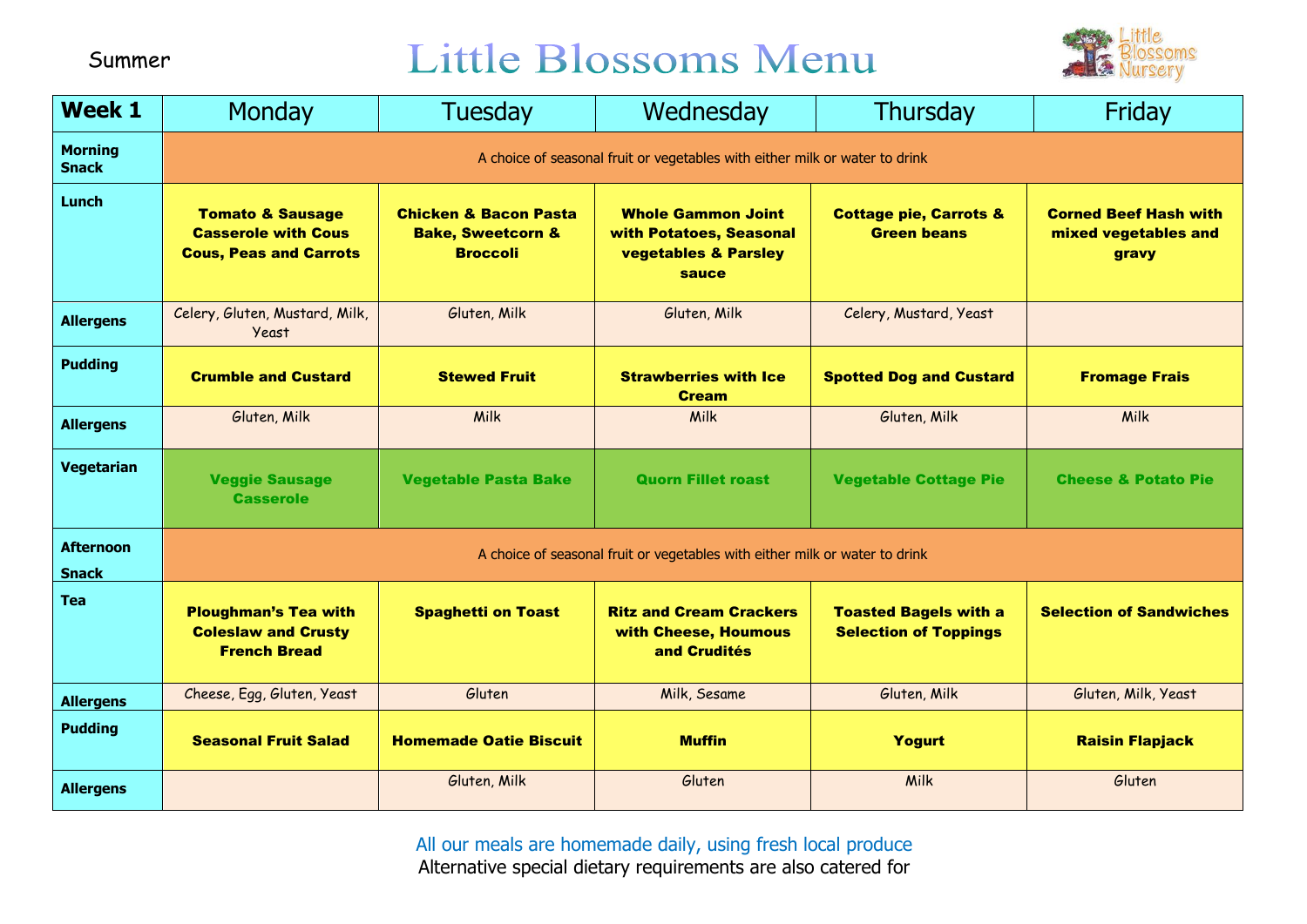### Little Blossoms Menu



| <b>Week 1</b>                    | <b>Monday</b>                                                                              | Tuesday                                                                             | Wednesday                                                                                        | Thursday                                                     | Friday                                                        |
|----------------------------------|--------------------------------------------------------------------------------------------|-------------------------------------------------------------------------------------|--------------------------------------------------------------------------------------------------|--------------------------------------------------------------|---------------------------------------------------------------|
| <b>Morning</b><br><b>Snack</b>   | A choice of seasonal fruit or vegetables with either milk or water to drink                |                                                                                     |                                                                                                  |                                                              |                                                               |
| Lunch                            | <b>Tomato &amp; Sausage</b><br><b>Casserole with Cous</b><br><b>Cous, Peas and Carrots</b> | <b>Chicken &amp; Bacon Pasta</b><br><b>Bake, Sweetcorn &amp;</b><br><b>Broccoli</b> | <b>Whole Gammon Joint</b><br>with Potatoes, Seasonal<br><b>vegetables &amp; Parsley</b><br>sauce | <b>Cottage pie, Carrots &amp;</b><br><b>Green beans</b>      | <b>Corned Beef Hash with</b><br>mixed vegetables and<br>gravy |
| <b>Allergens</b>                 | Celery, Gluten, Mustard, Milk,<br>Yeast                                                    | Gluten, Milk                                                                        | Gluten, Milk                                                                                     | Celery, Mustard, Yeast                                       |                                                               |
| <b>Pudding</b>                   | <b>Crumble and Custard</b>                                                                 | <b>Stewed Fruit</b>                                                                 | <b>Strawberries with Ice</b><br><b>Cream</b>                                                     | <b>Spotted Dog and Custard</b>                               | <b>Fromage Frais</b>                                          |
| <b>Allergens</b>                 | Gluten, Milk                                                                               | Milk                                                                                | <b>Milk</b>                                                                                      | Gluten, Milk                                                 | Milk                                                          |
| Vegetarian                       | <b>Veggie Sausage</b><br><b>Casserole</b>                                                  | <b>Vegetable Pasta Bake</b>                                                         | <b>Quorn Fillet roast</b>                                                                        | <b>Vegetable Cottage Pie</b>                                 | <b>Cheese &amp; Potato Pie</b>                                |
| <b>Afternoon</b><br><b>Snack</b> | A choice of seasonal fruit or vegetables with either milk or water to drink                |                                                                                     |                                                                                                  |                                                              |                                                               |
| <b>Tea</b>                       | <b>Ploughman's Tea with</b><br><b>Coleslaw and Crusty</b><br><b>French Bread</b>           | <b>Spaghetti on Toast</b>                                                           | <b>Ritz and Cream Crackers</b><br>with Cheese, Houmous<br>and Crudités                           | <b>Toasted Bagels with a</b><br><b>Selection of Toppings</b> | <b>Selection of Sandwiches</b>                                |
| <b>Allergens</b>                 | Cheese, Egg, Gluten, Yeast                                                                 | Gluten                                                                              | Milk, Sesame                                                                                     | Gluten, Milk                                                 | Gluten, Milk, Yeast                                           |
| <b>Pudding</b>                   | <b>Seasonal Fruit Salad</b>                                                                | <b>Homemade Oatie Biscuit</b>                                                       | <b>Muffin</b>                                                                                    | <b>Yogurt</b>                                                | <b>Raisin Flapjack</b>                                        |
| <b>Allergens</b>                 |                                                                                            | Gluten, Milk                                                                        | Gluten                                                                                           | Milk                                                         | Gluten                                                        |

All our meals are homemade daily, using fresh local produce Alternative special dietary requirements are also catered for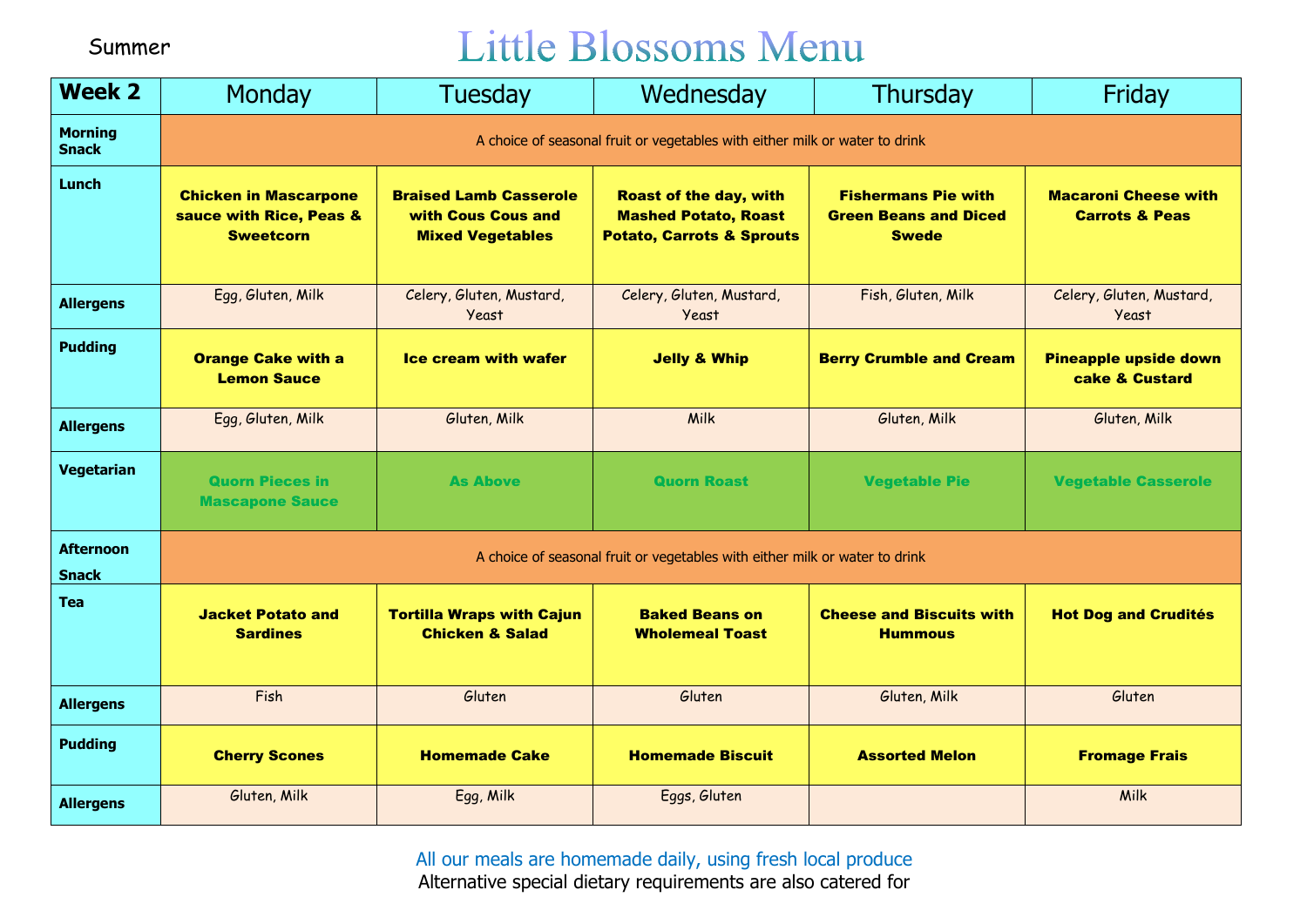## Little Blossoms Menu

| <b>Week 2</b>                    | Monday                                                                      | Tuesday                                                                        | Wednesday                                                                                            | Thursday                                                                   | Friday                                                   |  |
|----------------------------------|-----------------------------------------------------------------------------|--------------------------------------------------------------------------------|------------------------------------------------------------------------------------------------------|----------------------------------------------------------------------------|----------------------------------------------------------|--|
| <b>Morning</b><br><b>Snack</b>   | A choice of seasonal fruit or vegetables with either milk or water to drink |                                                                                |                                                                                                      |                                                                            |                                                          |  |
| Lunch                            | <b>Chicken in Mascarpone</b><br>sauce with Rice, Peas &<br><b>Sweetcorn</b> | <b>Braised Lamb Casserole</b><br>with Cous Cous and<br><b>Mixed Vegetables</b> | <b>Roast of the day, with</b><br><b>Mashed Potato, Roast</b><br><b>Potato, Carrots &amp; Sprouts</b> | <b>Fishermans Pie with</b><br><b>Green Beans and Diced</b><br><b>Swede</b> | <b>Macaroni Cheese with</b><br><b>Carrots &amp; Peas</b> |  |
| <b>Allergens</b>                 | Egg, Gluten, Milk                                                           | Celery, Gluten, Mustard,<br>Yeast                                              | Celery, Gluten, Mustard,<br><b>Yeast</b>                                                             | Fish, Gluten, Milk                                                         | Celery, Gluten, Mustard,<br><b>Yeast</b>                 |  |
| <b>Pudding</b>                   | <b>Orange Cake with a</b><br><b>Lemon Sauce</b>                             | <b>Ice cream with wafer</b>                                                    | <b>Jelly &amp; Whip</b>                                                                              | <b>Berry Crumble and Cream</b>                                             | <b>Pineapple upside down</b><br>cake & Custard           |  |
| <b>Allergens</b>                 | Egg, Gluten, Milk                                                           | Gluten, Milk                                                                   | Milk                                                                                                 | Gluten, Milk                                                               | Gluten, Milk                                             |  |
| Vegetarian                       | <b>Quorn Pieces in</b><br><b>Mascapone Sauce</b>                            | <b>As Above</b>                                                                | <b>Quorn Roast</b>                                                                                   | <b>Vegetable Pie</b>                                                       | <b>Vegetable Casserole</b>                               |  |
| <b>Afternoon</b><br><b>Snack</b> | A choice of seasonal fruit or vegetables with either milk or water to drink |                                                                                |                                                                                                      |                                                                            |                                                          |  |
| <b>Tea</b>                       | <b>Jacket Potato and</b><br><b>Sardines</b>                                 | <b>Tortilla Wraps with Cajun</b><br><b>Chicken &amp; Salad</b>                 | <b>Baked Beans on</b><br><b>Wholemeal Toast</b>                                                      | <b>Cheese and Biscuits with</b><br><b>Hummous</b>                          | <b>Hot Dog and Crudités</b>                              |  |
| <b>Allergens</b>                 | Fish                                                                        | Gluten                                                                         | Gluten                                                                                               | Gluten, Milk                                                               | Gluten                                                   |  |
| <b>Pudding</b>                   | <b>Cherry Scones</b>                                                        | <b>Homemade Cake</b>                                                           | <b>Homemade Biscuit</b>                                                                              | <b>Assorted Melon</b>                                                      | <b>Fromage Frais</b>                                     |  |
| <b>Allergens</b>                 | Gluten, Milk                                                                | Egg, Milk                                                                      | Eggs, Gluten                                                                                         |                                                                            | Milk                                                     |  |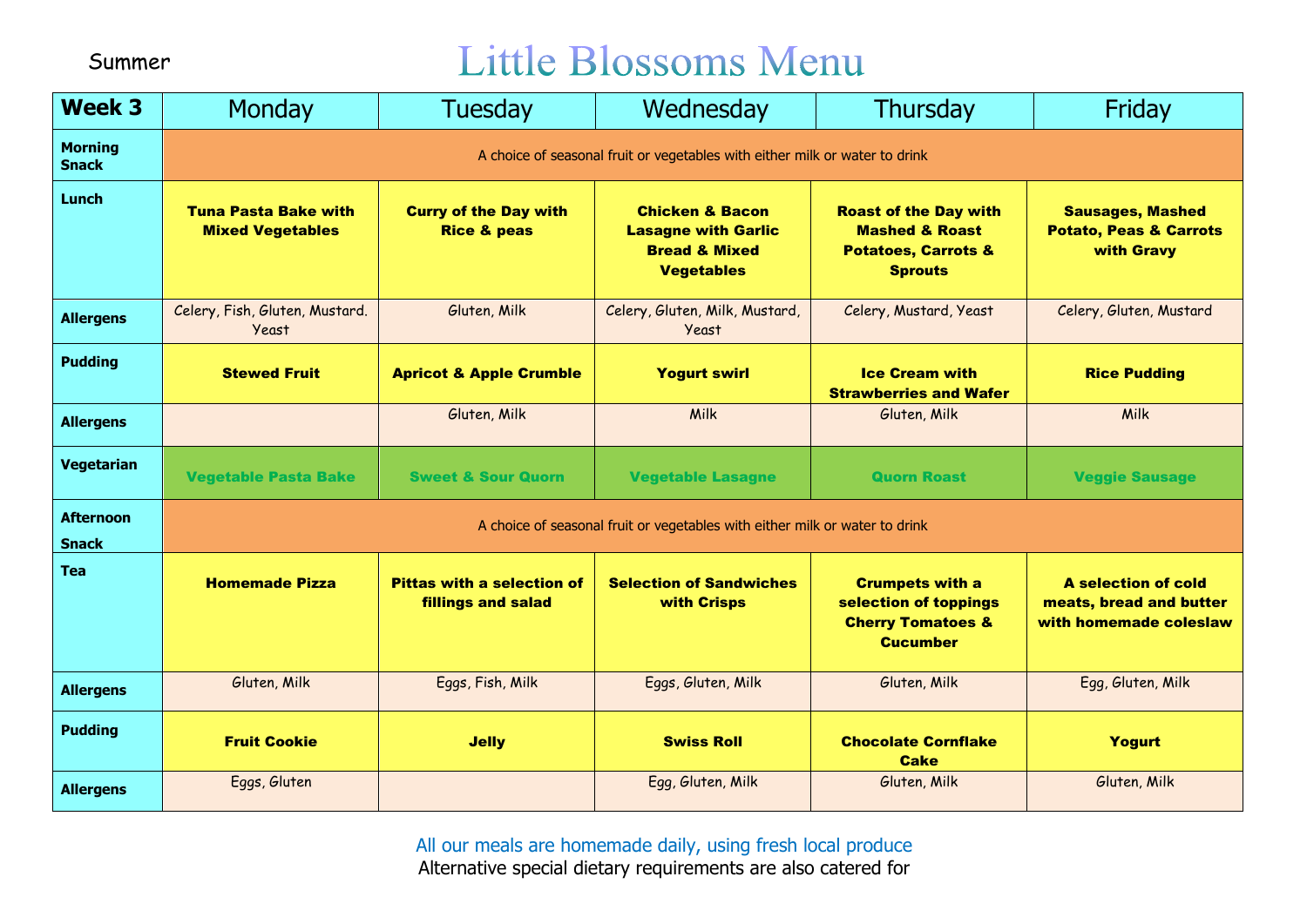## Little Blossoms Menu

| <b>Week 3</b>                    | Monday                                                                      | Tuesday                                                        | Wednesday                                                                                                 | Thursday                                                                                                      | Friday                                                                          |  |
|----------------------------------|-----------------------------------------------------------------------------|----------------------------------------------------------------|-----------------------------------------------------------------------------------------------------------|---------------------------------------------------------------------------------------------------------------|---------------------------------------------------------------------------------|--|
| <b>Morning</b><br><b>Snack</b>   | A choice of seasonal fruit or vegetables with either milk or water to drink |                                                                |                                                                                                           |                                                                                                               |                                                                                 |  |
| <b>Lunch</b>                     | <b>Tuna Pasta Bake with</b><br><b>Mixed Vegetables</b>                      | <b>Curry of the Day with</b><br><b>Rice &amp; peas</b>         | <b>Chicken &amp; Bacon</b><br><b>Lasagne with Garlic</b><br><b>Bread &amp; Mixed</b><br><b>Vegetables</b> | <b>Roast of the Day with</b><br><b>Mashed &amp; Roast</b><br><b>Potatoes, Carrots &amp;</b><br><b>Sprouts</b> | <b>Sausages, Mashed</b><br><b>Potato, Peas &amp; Carrots</b><br>with Gravy      |  |
| <b>Allergens</b>                 | Celery, Fish, Gluten, Mustard.<br><b>Yeast</b>                              | Gluten, Milk                                                   | Celery, Gluten, Milk, Mustard,<br><b>Yeast</b>                                                            | Celery, Mustard, Yeast                                                                                        | Celery, Gluten, Mustard                                                         |  |
| <b>Pudding</b>                   | <b>Stewed Fruit</b>                                                         | <b>Apricot &amp; Apple Crumble</b>                             | <b>Yogurt swirl</b>                                                                                       | <b>Ice Cream with</b><br><b>Strawberries and Wafer</b>                                                        | <b>Rice Pudding</b>                                                             |  |
| <b>Allergens</b>                 |                                                                             | Gluten, Milk                                                   | Milk                                                                                                      | Gluten, Milk                                                                                                  | Milk                                                                            |  |
| <b>Vegetarian</b>                | <b>Vegetable Pasta Bake</b>                                                 | <b>Sweet &amp; Sour Quorn</b>                                  | <b>Vegetable Lasagne</b>                                                                                  | <b>Quorn Roast</b>                                                                                            | <b>Veggie Sausage</b>                                                           |  |
| <b>Afternoon</b><br><b>Snack</b> | A choice of seasonal fruit or vegetables with either milk or water to drink |                                                                |                                                                                                           |                                                                                                               |                                                                                 |  |
| <b>Tea</b>                       | <b>Homemade Pizza</b>                                                       | <b>Pittas with a selection of</b><br><b>fillings and salad</b> | <b>Selection of Sandwiches</b><br>with Crisps                                                             | <b>Crumpets with a</b><br>selection of toppings<br><b>Cherry Tomatoes &amp;</b><br><b>Cucumber</b>            | <b>A selection of cold</b><br>meats, bread and butter<br>with homemade coleslaw |  |
| <b>Allergens</b>                 | Gluten, Milk                                                                | Eggs, Fish, Milk                                               | Eggs, Gluten, Milk                                                                                        | Gluten, Milk                                                                                                  | Egg, Gluten, Milk                                                               |  |
| <b>Pudding</b>                   | <b>Fruit Cookie</b>                                                         | <b>Jelly</b>                                                   | <b>Swiss Roll</b>                                                                                         | <b>Chocolate Cornflake</b><br><b>Cake</b>                                                                     | Yogurt                                                                          |  |
| <b>Allergens</b>                 | Eggs, Gluten                                                                |                                                                | Egg, Gluten, Milk                                                                                         | Gluten, Milk                                                                                                  | Gluten, Milk                                                                    |  |

All our meals are homemade daily, using fresh local produce Alternative special dietary requirements are also catered for